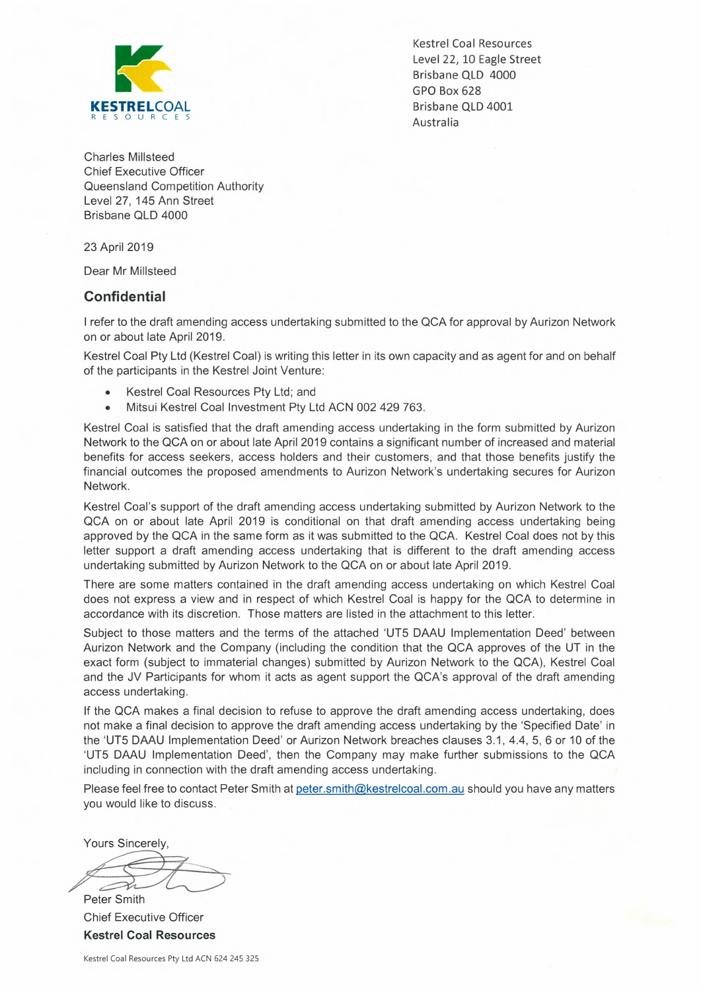

Kestrel Coal Resources Level 22, 10 Eagle Street Brisbane QLD 4000 GPO Box 628

Charles Millsteed Chief Executive Officer Queensland Competition Authority Level 27, 145 Ann Street Brisbane QLD 4000

23 April 2019

Dear Mr Millsteed

## **Confidential**

I refer to the draft amending access undertaking submitted to the QCA for approval by Aurizon Network on or about late April 2019.

Kestrel Coal Pty Ltd (Kestrel Coal) is writing this letter in its own capacity and as agent for and on behalf of the participants in the Kestrel Joint Venture:

- Kestrel Coal Resources Pty Ltd; and
- Mitsui Kestrel Coal Investment Pty Ltd ACN 002 429 763.

Kestrel Coal is satisfied that the draft amending access undertaking in the form submitted by Aurizon Network to the QCA on or about late April 2019 contains a significant number of increased and material benefits for access seekers, access holders and their customers, and that those benefits justify the financial outcomes the proposed amendments to Aurizon Network's undertaking secures for Aurizon Network.

Kestrel Coal's support of the draft amending access undertaking submitted by Aurizon Network to the QCA on or about late April 2019 is conditional on that draft amending access undertaking being approved by the QCA in the same form as it was submitted to the QCA. Kestrel Coal does not by this letter support a draft amending access undertaking that is different to the draft amending access undertaking submitted by Aurizon Network to the QCA on or about late April 2019.

There are some matters contained in the draft amending access undertaking on which Kestrel Coal does not express a view and in respect of which Kestrel Coal is happy for the QCA to determine in accordance with its discretion. Those matters are listed in the attachment to this letter.

Subject to those matters and the terms of the attached 'UT5 DAAU Implementation Deed' between Aurizon Network and the Company (including the condition that the QCA approves of the UT in the exact form (subject to immaterial changes) submitted by Aurizon Network to the QCA), Kestrel Coal and the JV Participants for whom it acts as agent support the QCA's approval of the draft amending access undertaking.

If the QCA makes a final decision to refuse to approve the draft amending access undertaking, does not make a final decision to approve the draft amending access undertaking by the 'Specified Date' in the `UT5 DAAU Implementation Deed' or Aurizon Network breaches clauses 3.1, 4.4, 5, 6 or 10 of the `UT5 DAAU Implementation Deed', then the Company may make further submissions to the QCA including in connection with the draft amending access undertaking.

Please feel free to contact Peter Smith at peter.smith@kestrelcoal.com.au should you have any matters you would like to discuss.

Yours Sincerely,

Peter Smith

Chief Executive Officer **Kestrel Coal Resources**